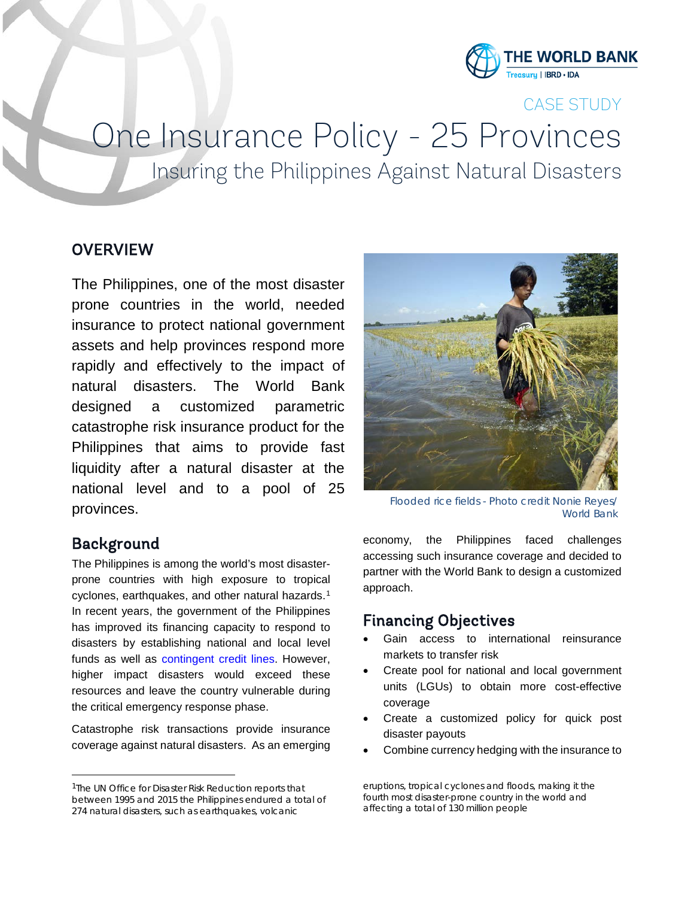

CASE STUDY

# One Insurance Policy - 25 Provinces<br>Insuring the Philippines Against Natural Disasters

#### **OVERVIEW**

The Philippines, one of the most disaster prone countries in the world, needed insurance to protect national government assets and help provinces respond more rapidly and effectively to the impact of natural disasters. The World Bank designed a customized parametric catastrophe risk insurance product for the Philippines that aims to provide fast liquidity after a natural disaster at the national level and to a pool of 25 provinces.

### Background

The Philippines is among the world's most disasterprone countries with high exposure to tropical cyclones, earthquakes, and other natural hazards.[1](#page-0-0) In recent years, the government of the Philippines has improved its financing capacity to respond to disasters by establishing national and local level funds as well as [contingent credit lines.](http://www.worldbank.org/en/news/press-release/2015/12/22/philippines-new-initiative-to-boost-resilience-against-natural-disasters) However, higher impact disasters would exceed these resources and leave the country vulnerable during the critical emergency response phase.

Catastrophe risk transactions provide insurance coverage against natural disasters. As an emerging



*Flooded rice fields - Photo credit Nonie Reyes/ World Bank*

economy, the Philippines faced challenges accessing such insurance coverage and decided to partner with the World Bank to design a customized approach.

#### Financing Objectives

- Gain access to international reinsurance markets to transfer risk
- Create pool for national and local government units (LGUs) to obtain more cost-effective coverage
- Create a customized policy for quick post disaster payouts
- Combine currency hedging with the insurance to

<span id="page-0-0"></span><sup>&</sup>lt;sup>1</sup>The UN Office for Disaster Risk Reduction reports that between 1995 and 2015 the Philippines endured a total of 274 natural disasters, such as earthquakes, volcanic

eruptions, tropical cyclones and floods, making it the fourth most disaster-prone country in the world and affecting a total of 130 million people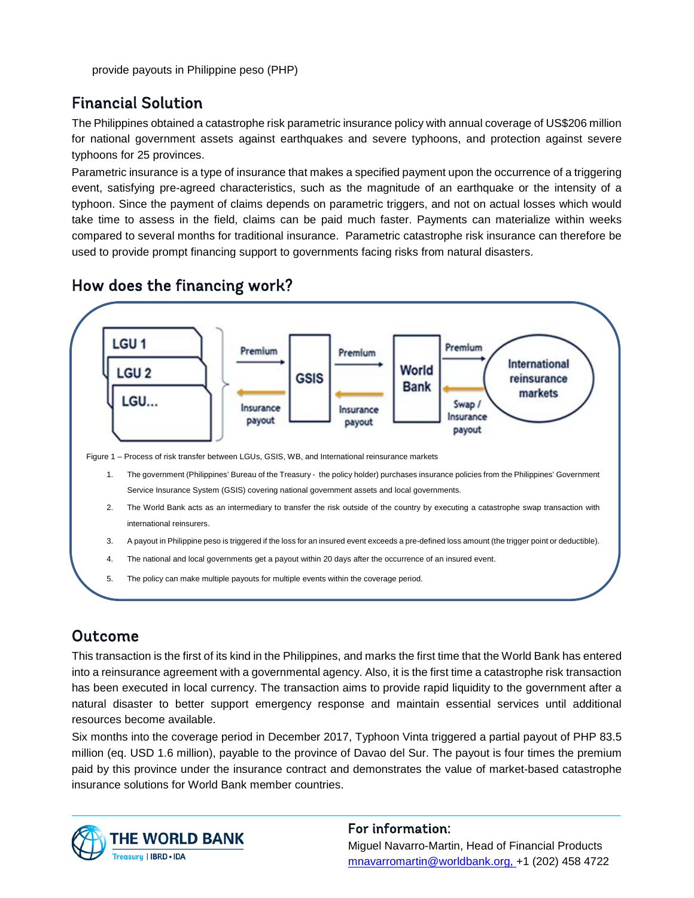# Financial Solution

The Philippines obtained a catastrophe risk parametric insurance policy with annual coverage of US\$206 million for national government assets against earthquakes and severe typhoons, and protection against severe typhoons for 25 provinces.

Parametric insurance is a type of insurance that makes a specified payment upon the occurrence of a triggering event, satisfying pre-agreed characteristics, such as the magnitude of an earthquake or the intensity of a typhoon. Since the payment of claims depends on parametric triggers, and not on actual losses which would take time to assess in the field, claims can be paid much faster. Payments can materialize within weeks compared to several months for traditional insurance. Parametric catastrophe risk insurance can therefore be used to provide prompt financing support to governments facing risks from natural disasters.



# How does the financing work?

# Outcome

This transaction is the first of its kind in the Philippines, and marks the first time that the World Bank has entered into a reinsurance agreement with a governmental agency. Also, it is the first time a catastrophe risk transaction has been executed in local currency. The transaction aims to provide rapid liquidity to the government after a natural disaster to better support emergency response and maintain essential services until additional resources become available.

Six months into the coverage period in December 2017, Typhoon Vinta triggered a partial payout of PHP 83.5 million (eq. USD 1.6 million), payable to the province of Davao del Sur. The payout is four times the premium paid by this province under the insurance contract and demonstrates the value of market-based catastrophe insurance solutions for World Bank member countries.



#### For information: Miguel Navarro-Martin, Head of Financial Products [mnavarromartin@worldbank.org,](mailto:mnavarromartin@worldbank.org) +1 (202) 458 4722